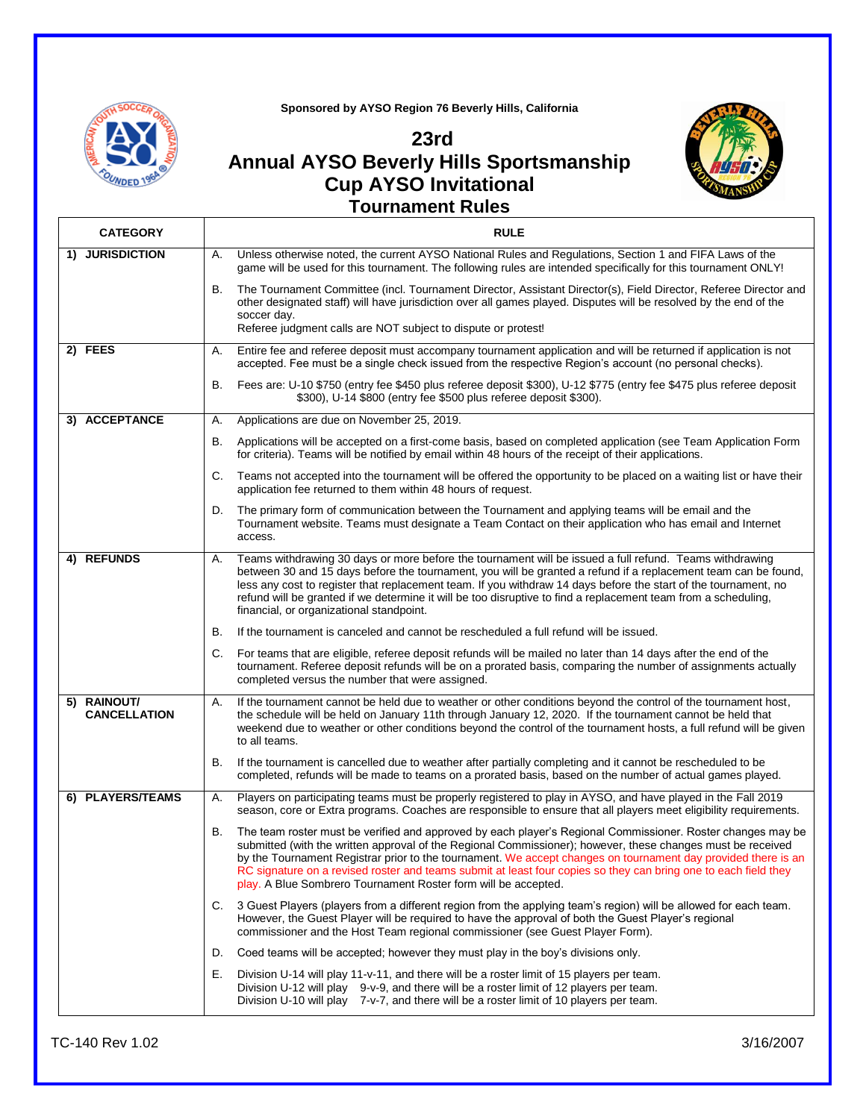

**Sponsored by AYSO Region 76 Beverly Hills, California**

## **23rd Annual AYSO Beverly Hills Sportsmanship Cup AYSO Invitational**



## **Tournament Rules**

| <b>CATEGORY</b>                    | <b>RULE</b>                                                                                                                                                                                                                                                                                                                                                                                                                                                                                                                            |  |
|------------------------------------|----------------------------------------------------------------------------------------------------------------------------------------------------------------------------------------------------------------------------------------------------------------------------------------------------------------------------------------------------------------------------------------------------------------------------------------------------------------------------------------------------------------------------------------|--|
| 1) JURISDICTION                    | Unless otherwise noted, the current AYSO National Rules and Regulations, Section 1 and FIFA Laws of the<br>А.<br>game will be used for this tournament. The following rules are intended specifically for this tournament ONLY!                                                                                                                                                                                                                                                                                                        |  |
|                                    | The Tournament Committee (incl. Tournament Director, Assistant Director(s), Field Director, Referee Director and<br>В.<br>other designated staff) will have jurisdiction over all games played. Disputes will be resolved by the end of the<br>soccer day.                                                                                                                                                                                                                                                                             |  |
|                                    | Referee judgment calls are NOT subject to dispute or protest!                                                                                                                                                                                                                                                                                                                                                                                                                                                                          |  |
| 2) FEES                            | Entire fee and referee deposit must accompany tournament application and will be returned if application is not<br>А.<br>accepted. Fee must be a single check issued from the respective Region's account (no personal checks).                                                                                                                                                                                                                                                                                                        |  |
|                                    | Fees are: U-10 \$750 (entry fee \$450 plus referee deposit \$300), U-12 \$775 (entry fee \$475 plus referee deposit<br>В.<br>\$300), U-14 \$800 (entry fee \$500 plus referee deposit \$300).                                                                                                                                                                                                                                                                                                                                          |  |
| 3) ACCEPTANCE                      | Applications are due on November 25, 2019.<br>А.                                                                                                                                                                                                                                                                                                                                                                                                                                                                                       |  |
|                                    | В.<br>Applications will be accepted on a first-come basis, based on completed application (see Team Application Form<br>for criteria). Teams will be notified by email within 48 hours of the receipt of their applications.                                                                                                                                                                                                                                                                                                           |  |
|                                    | C.<br>Teams not accepted into the tournament will be offered the opportunity to be placed on a waiting list or have their<br>application fee returned to them within 48 hours of request.                                                                                                                                                                                                                                                                                                                                              |  |
|                                    | The primary form of communication between the Tournament and applying teams will be email and the<br>D.<br>Tournament website. Teams must designate a Team Contact on their application who has email and Internet<br>access.                                                                                                                                                                                                                                                                                                          |  |
| 4) REFUNDS                         | Teams withdrawing 30 days or more before the tournament will be issued a full refund. Teams withdrawing<br>А.<br>between 30 and 15 days before the tournament, you will be granted a refund if a replacement team can be found,<br>less any cost to register that replacement team. If you withdraw 14 days before the start of the tournament, no<br>refund will be granted if we determine it will be too disruptive to find a replacement team from a scheduling,<br>financial, or organizational standpoint.                       |  |
|                                    | В.<br>If the tournament is canceled and cannot be rescheduled a full refund will be issued.                                                                                                                                                                                                                                                                                                                                                                                                                                            |  |
|                                    | C.<br>For teams that are eligible, referee deposit refunds will be mailed no later than 14 days after the end of the<br>tournament. Referee deposit refunds will be on a prorated basis, comparing the number of assignments actually<br>completed versus the number that were assigned.                                                                                                                                                                                                                                               |  |
| 5) RAINOUT/<br><b>CANCELLATION</b> | If the tournament cannot be held due to weather or other conditions beyond the control of the tournament host,<br>А.<br>the schedule will be held on January 11th through January 12, 2020. If the tournament cannot be held that<br>weekend due to weather or other conditions beyond the control of the tournament hosts, a full refund will be given<br>to all teams.                                                                                                                                                               |  |
|                                    | В.<br>If the tournament is cancelled due to weather after partially completing and it cannot be rescheduled to be<br>completed, refunds will be made to teams on a prorated basis, based on the number of actual games played.                                                                                                                                                                                                                                                                                                         |  |
| 6) PLAYERS/TEAMS                   | Players on participating teams must be properly registered to play in AYSO, and have played in the Fall 2019<br>А.<br>season, core or Extra programs. Coaches are responsible to ensure that all players meet eligibility requirements.                                                                                                                                                                                                                                                                                                |  |
|                                    | В.<br>The team roster must be verified and approved by each player's Regional Commissioner. Roster changes may be<br>submitted (with the written approval of the Regional Commissioner); however, these changes must be received<br>by the Tournament Registrar prior to the tournament. We accept changes on tournament day provided there is an<br>RC signature on a revised roster and teams submit at least four copies so they can bring one to each field they<br>play. A Blue Sombrero Tournament Roster form will be accepted. |  |
|                                    | 3 Guest Players (players from a different region from the applying team's region) will be allowed for each team.<br>C.<br>However, the Guest Player will be required to have the approval of both the Guest Player's regional<br>commissioner and the Host Team regional commissioner (see Guest Player Form).                                                                                                                                                                                                                         |  |
|                                    | Coed teams will be accepted; however they must play in the boy's divisions only.<br>D.                                                                                                                                                                                                                                                                                                                                                                                                                                                 |  |
|                                    | Division U-14 will play 11-v-11, and there will be a roster limit of 15 players per team.<br>Е.<br>Division U-12 will play 9-v-9, and there will be a roster limit of 12 players per team.<br>Division U-10 will play 7-v-7, and there will be a roster limit of 10 players per team.                                                                                                                                                                                                                                                  |  |
|                                    |                                                                                                                                                                                                                                                                                                                                                                                                                                                                                                                                        |  |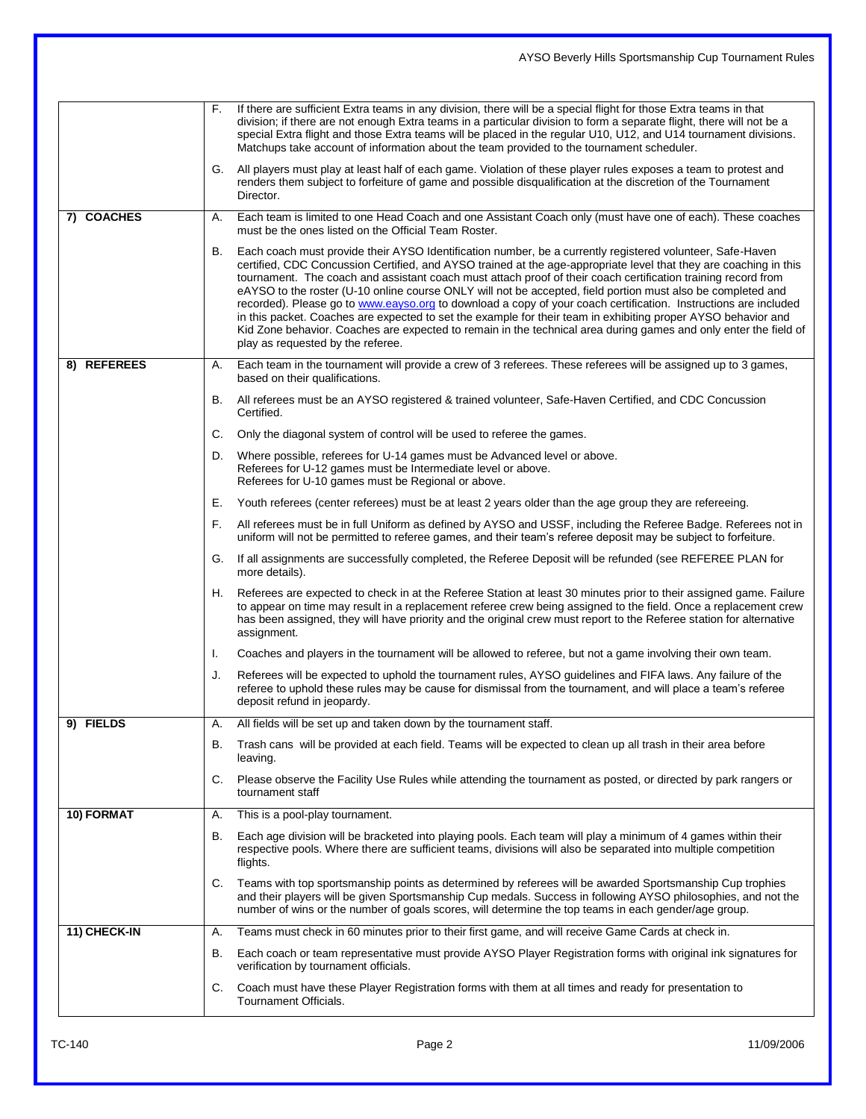|              | AYSO Beverly Hills Sportsmanship Cup Tournament Rules                                                                                                                                                                                                                                                                                                                                                                                                                                                                                                                                                                                                                                                                                                                                                                                                             |  |
|--------------|-------------------------------------------------------------------------------------------------------------------------------------------------------------------------------------------------------------------------------------------------------------------------------------------------------------------------------------------------------------------------------------------------------------------------------------------------------------------------------------------------------------------------------------------------------------------------------------------------------------------------------------------------------------------------------------------------------------------------------------------------------------------------------------------------------------------------------------------------------------------|--|
|              |                                                                                                                                                                                                                                                                                                                                                                                                                                                                                                                                                                                                                                                                                                                                                                                                                                                                   |  |
|              | If there are sufficient Extra teams in any division, there will be a special flight for those Extra teams in that<br>F.<br>division; if there are not enough Extra teams in a particular division to form a separate flight, there will not be a<br>special Extra flight and those Extra teams will be placed in the regular U10, U12, and U14 tournament divisions.<br>Matchups take account of information about the team provided to the tournament scheduler.                                                                                                                                                                                                                                                                                                                                                                                                 |  |
|              | All players must play at least half of each game. Violation of these player rules exposes a team to protest and<br>G.<br>renders them subject to forfeiture of game and possible disqualification at the discretion of the Tournament<br>Director.                                                                                                                                                                                                                                                                                                                                                                                                                                                                                                                                                                                                                |  |
| 7) COACHES   | Each team is limited to one Head Coach and one Assistant Coach only (must have one of each). These coaches<br>А.<br>must be the ones listed on the Official Team Roster.                                                                                                                                                                                                                                                                                                                                                                                                                                                                                                                                                                                                                                                                                          |  |
|              | Each coach must provide their AYSO Identification number, be a currently registered volunteer, Safe-Haven<br>В.<br>certified, CDC Concussion Certified, and AYSO trained at the age-appropriate level that they are coaching in this<br>tournament. The coach and assistant coach must attach proof of their coach certification training record from<br>eAYSO to the roster (U-10 online course ONLY will not be accepted, field portion must also be completed and<br>recorded). Please go to www.eayso.org to download a copy of your coach certification. Instructions are included<br>in this packet. Coaches are expected to set the example for their team in exhibiting proper AYSO behavior and<br>Kid Zone behavior. Coaches are expected to remain in the technical area during games and only enter the field of<br>play as requested by the referee. |  |
| 8) REFEREES  | Each team in the tournament will provide a crew of 3 referees. These referees will be assigned up to 3 games,<br>А.<br>based on their qualifications.                                                                                                                                                                                                                                                                                                                                                                                                                                                                                                                                                                                                                                                                                                             |  |
|              | All referees must be an AYSO registered & trained volunteer, Safe-Haven Certified, and CDC Concussion<br>В.<br>Certified.                                                                                                                                                                                                                                                                                                                                                                                                                                                                                                                                                                                                                                                                                                                                         |  |
|              | C.<br>Only the diagonal system of control will be used to referee the games.                                                                                                                                                                                                                                                                                                                                                                                                                                                                                                                                                                                                                                                                                                                                                                                      |  |
|              | Where possible, referees for U-14 games must be Advanced level or above.<br>D.<br>Referees for U-12 games must be Intermediate level or above.<br>Referees for U-10 games must be Regional or above.                                                                                                                                                                                                                                                                                                                                                                                                                                                                                                                                                                                                                                                              |  |
|              | Е.<br>Youth referees (center referees) must be at least 2 years older than the age group they are refereeing.                                                                                                                                                                                                                                                                                                                                                                                                                                                                                                                                                                                                                                                                                                                                                     |  |
|              | F.<br>All referees must be in full Uniform as defined by AYSO and USSF, including the Referee Badge. Referees not in<br>uniform will not be permitted to referee games, and their team's referee deposit may be subject to forfeiture.                                                                                                                                                                                                                                                                                                                                                                                                                                                                                                                                                                                                                            |  |
|              | If all assignments are successfully completed, the Referee Deposit will be refunded (see REFEREE PLAN for<br>G.<br>more details).                                                                                                                                                                                                                                                                                                                                                                                                                                                                                                                                                                                                                                                                                                                                 |  |
|              | Referees are expected to check in at the Referee Station at least 30 minutes prior to their assigned game. Failure<br>Н.<br>to appear on time may result in a replacement referee crew being assigned to the field. Once a replacement crew<br>has been assigned, they will have priority and the original crew must report to the Referee station for alternative<br>assignment.                                                                                                                                                                                                                                                                                                                                                                                                                                                                                 |  |
|              | Coaches and players in the tournament will be allowed to referee, but not a game involving their own team.<br>I.                                                                                                                                                                                                                                                                                                                                                                                                                                                                                                                                                                                                                                                                                                                                                  |  |
|              | J.<br>Referees will be expected to uphold the tournament rules, AYSO guidelines and FIFA laws. Any failure of the<br>referee to uphold these rules may be cause for dismissal from the tournament, and will place a team's referee<br>deposit refund in jeopardy.                                                                                                                                                                                                                                                                                                                                                                                                                                                                                                                                                                                                 |  |
| 9) FIELDS    | All fields will be set up and taken down by the tournament staff.<br>А.                                                                                                                                                                                                                                                                                                                                                                                                                                                                                                                                                                                                                                                                                                                                                                                           |  |
|              | Trash cans will be provided at each field. Teams will be expected to clean up all trash in their area before<br>В.<br>leaving.                                                                                                                                                                                                                                                                                                                                                                                                                                                                                                                                                                                                                                                                                                                                    |  |
|              | C.<br>Please observe the Facility Use Rules while attending the tournament as posted, or directed by park rangers or<br>tournament staff                                                                                                                                                                                                                                                                                                                                                                                                                                                                                                                                                                                                                                                                                                                          |  |
| 10) FORMAT   | This is a pool-play tournament.<br>А.                                                                                                                                                                                                                                                                                                                                                                                                                                                                                                                                                                                                                                                                                                                                                                                                                             |  |
|              | Each age division will be bracketed into playing pools. Each team will play a minimum of 4 games within their<br>В.<br>respective pools. Where there are sufficient teams, divisions will also be separated into multiple competition<br>flights.                                                                                                                                                                                                                                                                                                                                                                                                                                                                                                                                                                                                                 |  |
|              | Teams with top sportsmanship points as determined by referees will be awarded Sportsmanship Cup trophies<br>C.<br>and their players will be given Sportsmanship Cup medals. Success in following AYSO philosophies, and not the<br>number of wins or the number of goals scores, will determine the top teams in each gender/age group.                                                                                                                                                                                                                                                                                                                                                                                                                                                                                                                           |  |
| 11) CHECK-IN | Teams must check in 60 minutes prior to their first game, and will receive Game Cards at check in.<br>А.                                                                                                                                                                                                                                                                                                                                                                                                                                                                                                                                                                                                                                                                                                                                                          |  |
|              | Each coach or team representative must provide AYSO Player Registration forms with original ink signatures for<br>В.<br>verification by tournament officials.                                                                                                                                                                                                                                                                                                                                                                                                                                                                                                                                                                                                                                                                                                     |  |
|              | C.<br>Coach must have these Player Registration forms with them at all times and ready for presentation to<br>Tournament Officials.                                                                                                                                                                                                                                                                                                                                                                                                                                                                                                                                                                                                                                                                                                                               |  |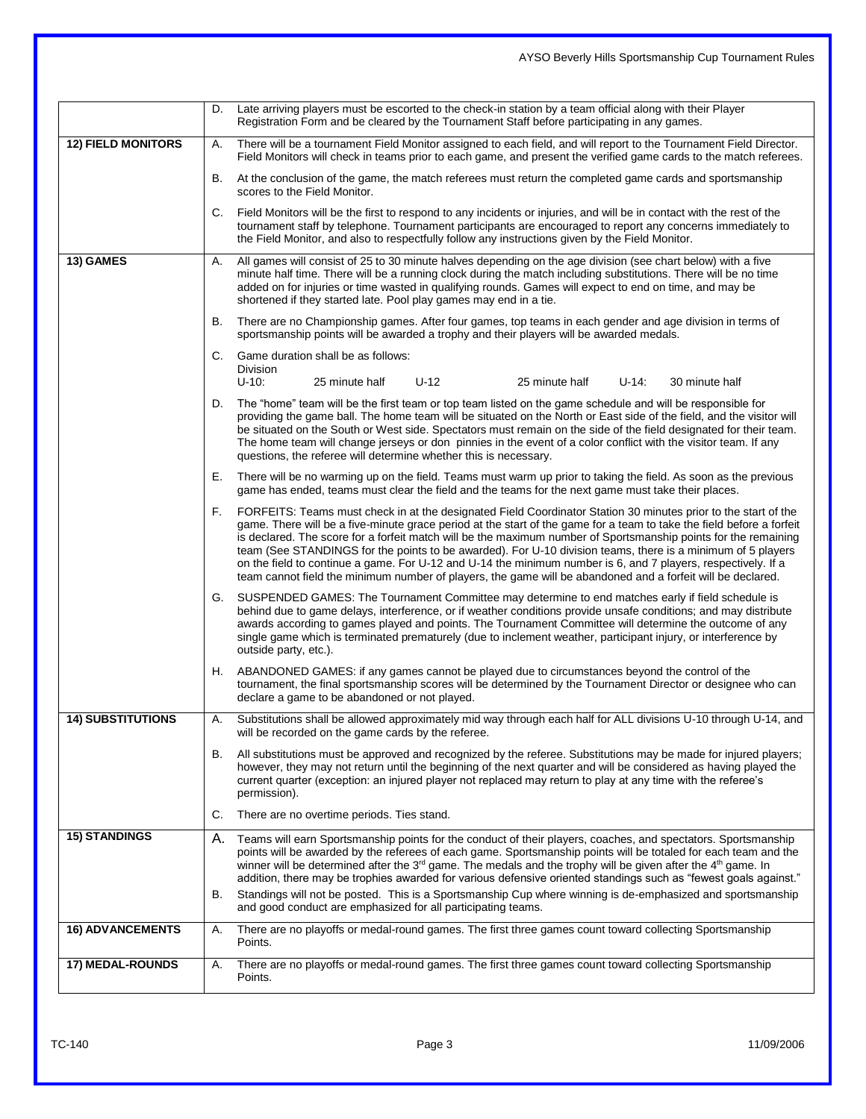## D. Late arriving players must be escorted to the check-in station by a team official along with their Player Registration Form and be cleared by the Tournament Staff before participating in any games. 12) FIELD MONITORS | A. There will be a tournament Field Monitor assigned to each field, and will report to the Tournament Field Director. Field Monitors will check in teams prior to each game, and present the verified game cards to the match referees. B. At the conclusion of the game, the match referees must return the completed game cards and sportsmanship scores to the Field Monitor. C. Field Monitors will be the first to respond to any incidents or injuries, and will be in contact with the rest of the tournament staff by telephone. Tournament participants are encouraged to report any concerns immediately to the Field Monitor, and also to respectfully follow any instructions given by the Field Monitor. **13) GAMES** A. All games will consist of 25 to 30 minute halves depending on the age division (see chart below) with a five minute half time. There will be a running clock during the match including substitutions. There will be no time added on for injuries or time wasted in qualifying rounds. Games will expect to end on time, and may be shortened if they started late. Pool play games may end in a tie. B. There are no Championship games. After four games, top teams in each gender and age division in terms of sportsmanship points will be awarded a trophy and their players will be awarded medals. C. Game duration shall be as follows: Division<br>U-10: U-10: 25 minute half U-12 25 minute half U-14: 30 minute half D. The "home" team will be the first team or top team listed on the game schedule and will be responsible for providing the game ball. The home team will be situated on the North or East side of the field, and the visitor will be situated on the South or West side. Spectators must remain on the side of the field designated for their team. The home team will change jerseys or don pinnies in the event of a color conflict with the visitor team. If any questions, the referee will determine whether this is necessary. E. There will be no warming up on the field. Teams must warm up prior to taking the field. As soon as the previous game has ended, teams must clear the field and the teams for the next game must take their places. F. FORFEITS: Teams must check in at the designated Field Coordinator Station 30 minutes prior to the start of the game. There will be a five-minute grace period at the start of the game for a team to take the field before a forfeit is declared. The score for a forfeit match will be the maximum number of Sportsmanship points for the remaining team (See STANDINGS for the points to be awarded). For U-10 division teams, there is a minimum of 5 players on the field to continue a game. For U-12 and U-14 the minimum number is 6, and 7 players, respectively. If a team cannot field the minimum number of players, the game will be abandoned and a forfeit will be declared. G. SUSPENDED GAMES: The Tournament Committee may determine to end matches early if field schedule is behind due to game delays, interference, or if weather conditions provide unsafe conditions; and may distribute awards according to games played and points. The Tournament Committee will determine the outcome of any single game which is terminated prematurely (due to inclement weather, participant injury, or interference by outside party, etc.). H. ABANDONED GAMES: if any games cannot be played due to circumstances beyond the control of the tournament, the final sportsmanship scores will be determined by the Tournament Director or designee who can declare a game to be abandoned or not played. **14) SUBSTITUTIONS** A. Substitutions shall be allowed approximately mid way through each half for ALL divisions U-10 through U-14, and will be recorded on the game cards by the referee. B. All substitutions must be approved and recognized by the referee. Substitutions may be made for injured players; however, they may not return until the beginning of the next quarter and will be considered as having played the current quarter (exception: an injured player not replaced may return to play at any time with the referee's permission). C. There are no overtime periods. Ties stand. 15) **STANDINGS** A. Teams will earn Sportsmanship points for the conduct of their players, coaches, and spectators. Sportsmanship points will be awarded by the referees of each game. Sportsmanship points will be totaled for each team and the winner will be determined after the  $3<sup>rd</sup>$  game. The medals and the trophy will be given after the  $4<sup>th</sup>$  game. In addition, there may be trophies awarded for various defensive oriented standings such as "fewest goals against." B. Standings will not be posted. This is a Sportsmanship Cup where winning is de-emphasized and sportsmanship and good conduct are emphasized for all participating teams. **16) ADVANCEMENTS** A. There are no playoffs or medal-round games. The first three games count toward collecting Sportsmanship Points. **17) MEDAL-ROUNDS** A. There are no playoffs or medal-round games. The first three games count toward collecting Sportsmanship Points.

AYSO Beverly Hills Sportsmanship Cup Tournament Rules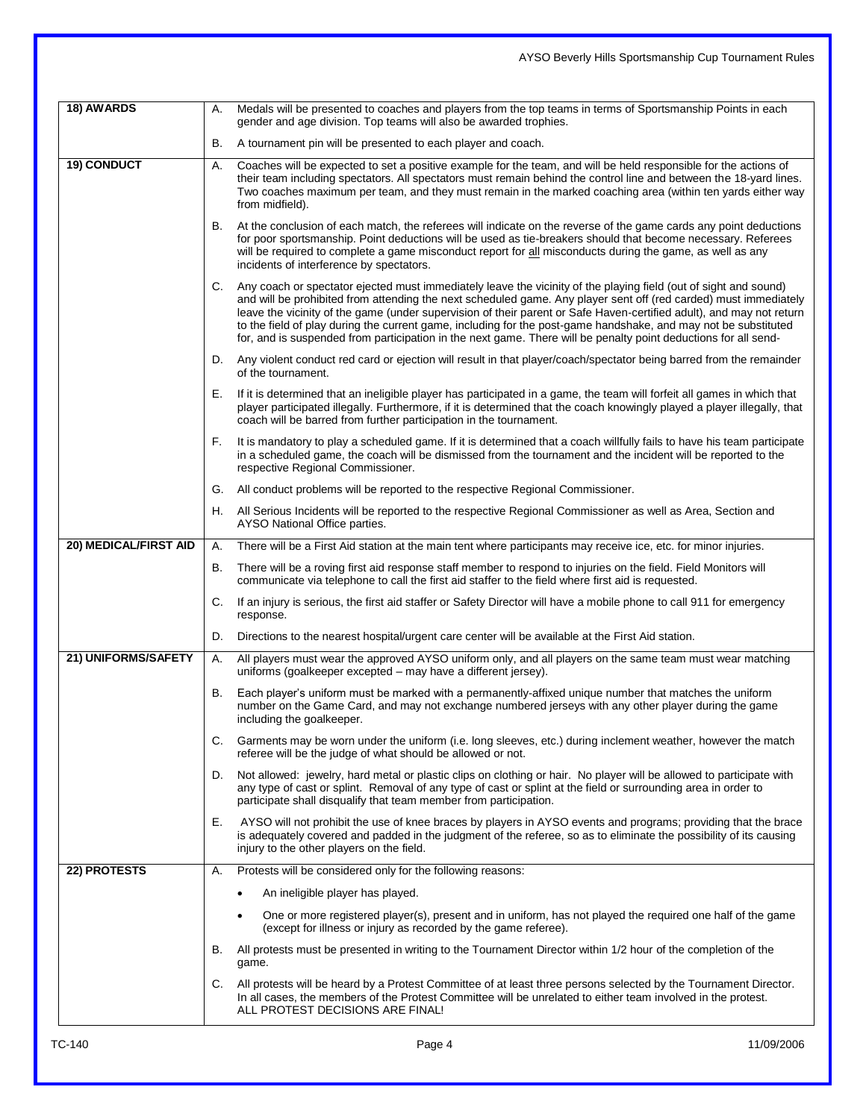| 18) AWARDS            | А. | Medals will be presented to coaches and players from the top teams in terms of Sportsmanship Points in each                                                                                                                                                                                                                                                                                                                                                                                                                                                                                        |
|-----------------------|----|----------------------------------------------------------------------------------------------------------------------------------------------------------------------------------------------------------------------------------------------------------------------------------------------------------------------------------------------------------------------------------------------------------------------------------------------------------------------------------------------------------------------------------------------------------------------------------------------------|
|                       | В. | gender and age division. Top teams will also be awarded trophies.<br>A tournament pin will be presented to each player and coach.                                                                                                                                                                                                                                                                                                                                                                                                                                                                  |
|                       |    |                                                                                                                                                                                                                                                                                                                                                                                                                                                                                                                                                                                                    |
| 19) CONDUCT           | А. | Coaches will be expected to set a positive example for the team, and will be held responsible for the actions of<br>their team including spectators. All spectators must remain behind the control line and between the 18-yard lines.<br>Two coaches maximum per team, and they must remain in the marked coaching area (within ten yards either way<br>from midfield).                                                                                                                                                                                                                           |
|                       | В. | At the conclusion of each match, the referees will indicate on the reverse of the game cards any point deductions<br>for poor sportsmanship. Point deductions will be used as tie-breakers should that become necessary. Referees<br>will be required to complete a game misconduct report for all misconducts during the game, as well as any<br>incidents of interference by spectators.                                                                                                                                                                                                         |
|                       | C. | Any coach or spectator ejected must immediately leave the vicinity of the playing field (out of sight and sound)<br>and will be prohibited from attending the next scheduled game. Any player sent off (red carded) must immediately<br>leave the vicinity of the game (under supervision of their parent or Safe Haven-certified adult), and may not return<br>to the field of play during the current game, including for the post-game handshake, and may not be substituted<br>for, and is suspended from participation in the next game. There will be penalty point deductions for all send- |
|                       | D. | Any violent conduct red card or ejection will result in that player/coach/spectator being barred from the remainder<br>of the tournament.                                                                                                                                                                                                                                                                                                                                                                                                                                                          |
|                       | Е. | If it is determined that an ineligible player has participated in a game, the team will forfeit all games in which that<br>player participated illegally. Furthermore, if it is determined that the coach knowingly played a player illegally, that<br>coach will be barred from further participation in the tournament.                                                                                                                                                                                                                                                                          |
|                       | F. | It is mandatory to play a scheduled game. If it is determined that a coach willfully fails to have his team participate<br>in a scheduled game, the coach will be dismissed from the tournament and the incident will be reported to the<br>respective Regional Commissioner.                                                                                                                                                                                                                                                                                                                      |
|                       | G. | All conduct problems will be reported to the respective Regional Commissioner.                                                                                                                                                                                                                                                                                                                                                                                                                                                                                                                     |
|                       | Н. | All Serious Incidents will be reported to the respective Regional Commissioner as well as Area, Section and<br>AYSO National Office parties.                                                                                                                                                                                                                                                                                                                                                                                                                                                       |
| 20) MEDICAL/FIRST AID | А. | There will be a First Aid station at the main tent where participants may receive ice, etc. for minor injuries.                                                                                                                                                                                                                                                                                                                                                                                                                                                                                    |
|                       | В. | There will be a roving first aid response staff member to respond to injuries on the field. Field Monitors will<br>communicate via telephone to call the first aid staffer to the field where first aid is requested.                                                                                                                                                                                                                                                                                                                                                                              |
|                       | C. | If an injury is serious, the first aid staffer or Safety Director will have a mobile phone to call 911 for emergency<br>response.                                                                                                                                                                                                                                                                                                                                                                                                                                                                  |
|                       | D. | Directions to the nearest hospital/urgent care center will be available at the First Aid station.                                                                                                                                                                                                                                                                                                                                                                                                                                                                                                  |
| 21) UNIFORMS/SAFETY   | А. | All players must wear the approved AYSO uniform only, and all players on the same team must wear matching<br>uniforms (goalkeeper excepted - may have a different jersey).                                                                                                                                                                                                                                                                                                                                                                                                                         |
|                       | В. | Each player's uniform must be marked with a permanently-affixed unique number that matches the uniform<br>number on the Game Card, and may not exchange numbered jerseys with any other player during the game<br>including the goalkeeper.                                                                                                                                                                                                                                                                                                                                                        |
|                       | C. | Garments may be worn under the uniform (i.e. long sleeves, etc.) during inclement weather, however the match<br>referee will be the judge of what should be allowed or not.                                                                                                                                                                                                                                                                                                                                                                                                                        |
|                       | D. | Not allowed: jewelry, hard metal or plastic clips on clothing or hair. No player will be allowed to participate with<br>any type of cast or splint. Removal of any type of cast or splint at the field or surrounding area in order to<br>participate shall disqualify that team member from participation.                                                                                                                                                                                                                                                                                        |
|                       | Е. | AYSO will not prohibit the use of knee braces by players in AYSO events and programs; providing that the brace<br>is adequately covered and padded in the judgment of the referee, so as to eliminate the possibility of its causing<br>injury to the other players on the field.                                                                                                                                                                                                                                                                                                                  |
| 22) PROTESTS          | А. | Protests will be considered only for the following reasons:                                                                                                                                                                                                                                                                                                                                                                                                                                                                                                                                        |
|                       |    | An ineligible player has played.<br>٠                                                                                                                                                                                                                                                                                                                                                                                                                                                                                                                                                              |
|                       |    | One or more registered player(s), present and in uniform, has not played the required one half of the game<br>٠<br>(except for illness or injury as recorded by the game referee).                                                                                                                                                                                                                                                                                                                                                                                                                 |
|                       | В. | All protests must be presented in writing to the Tournament Director within 1/2 hour of the completion of the<br>game.                                                                                                                                                                                                                                                                                                                                                                                                                                                                             |
|                       | C. | All protests will be heard by a Protest Committee of at least three persons selected by the Tournament Director.<br>In all cases, the members of the Protest Committee will be unrelated to either team involved in the protest.<br>ALL PROTEST DECISIONS ARE FINAL!                                                                                                                                                                                                                                                                                                                               |

AYSO Beverly Hills Sportsmanship Cup Tournament Rules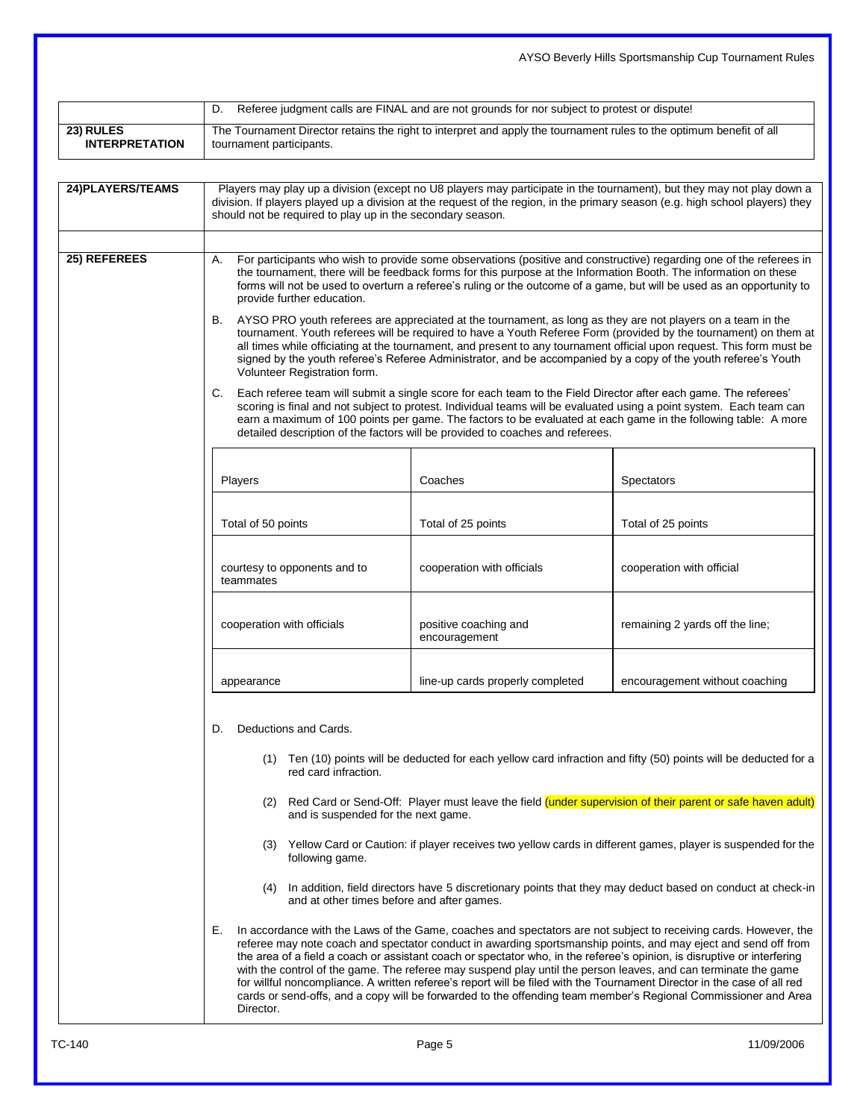|                                    |                                                                                                                                                                                                                                                                                                                                                                                                                                                                                                                                                                                                                                                                                                                                                                                                                                                                                                                                                                     |                                                                                                                                                                                                                                                                                                                                                                                                                                                                                                                                                                                                                                                                                                                              | AYSO Beverly Hills Sportsmanship Cup Tournament Rules |  |  |  |
|------------------------------------|---------------------------------------------------------------------------------------------------------------------------------------------------------------------------------------------------------------------------------------------------------------------------------------------------------------------------------------------------------------------------------------------------------------------------------------------------------------------------------------------------------------------------------------------------------------------------------------------------------------------------------------------------------------------------------------------------------------------------------------------------------------------------------------------------------------------------------------------------------------------------------------------------------------------------------------------------------------------|------------------------------------------------------------------------------------------------------------------------------------------------------------------------------------------------------------------------------------------------------------------------------------------------------------------------------------------------------------------------------------------------------------------------------------------------------------------------------------------------------------------------------------------------------------------------------------------------------------------------------------------------------------------------------------------------------------------------------|-------------------------------------------------------|--|--|--|
|                                    | D.                                                                                                                                                                                                                                                                                                                                                                                                                                                                                                                                                                                                                                                                                                                                                                                                                                                                                                                                                                  | Referee judgment calls are FINAL and are not grounds for nor subject to protest or dispute!                                                                                                                                                                                                                                                                                                                                                                                                                                                                                                                                                                                                                                  |                                                       |  |  |  |
| 23) RULES<br><b>INTERPRETATION</b> | The Tournament Director retains the right to interpret and apply the tournament rules to the optimum benefit of all<br>tournament participants.                                                                                                                                                                                                                                                                                                                                                                                                                                                                                                                                                                                                                                                                                                                                                                                                                     |                                                                                                                                                                                                                                                                                                                                                                                                                                                                                                                                                                                                                                                                                                                              |                                                       |  |  |  |
| 24) PLAYERS/TEAMS                  | Players may play up a division (except no U8 players may participate in the tournament), but they may not play down a<br>division. If players played up a division at the request of the region, in the primary season (e.g. high school players) they<br>should not be required to play up in the secondary season.                                                                                                                                                                                                                                                                                                                                                                                                                                                                                                                                                                                                                                                |                                                                                                                                                                                                                                                                                                                                                                                                                                                                                                                                                                                                                                                                                                                              |                                                       |  |  |  |
| 25) REFEREES                       | For participants who wish to provide some observations (positive and constructive) regarding one of the referees in<br>А.<br>the tournament, there will be feedback forms for this purpose at the Information Booth. The information on these<br>forms will not be used to overturn a referee's ruling or the outcome of a game, but will be used as an opportunity to<br>provide further education.                                                                                                                                                                                                                                                                                                                                                                                                                                                                                                                                                                |                                                                                                                                                                                                                                                                                                                                                                                                                                                                                                                                                                                                                                                                                                                              |                                                       |  |  |  |
|                                    | AYSO PRO youth referees are appreciated at the tournament, as long as they are not players on a team in the<br>В.<br>tournament. Youth referees will be required to have a Youth Referee Form (provided by the tournament) on them at<br>all times while officiating at the tournament, and present to any tournament official upon request. This form must be<br>signed by the youth referee's Referee Administrator, and be accompanied by a copy of the youth referee's Youth<br>Volunteer Registration form.<br>C.<br>Each referee team will submit a single score for each team to the Field Director after each game. The referees'<br>scoring is final and not subject to protest. Individual teams will be evaluated using a point system. Each team can<br>earn a maximum of 100 points per game. The factors to be evaluated at each game in the following table: A more<br>detailed description of the factors will be provided to coaches and referees. |                                                                                                                                                                                                                                                                                                                                                                                                                                                                                                                                                                                                                                                                                                                              |                                                       |  |  |  |
|                                    |                                                                                                                                                                                                                                                                                                                                                                                                                                                                                                                                                                                                                                                                                                                                                                                                                                                                                                                                                                     |                                                                                                                                                                                                                                                                                                                                                                                                                                                                                                                                                                                                                                                                                                                              |                                                       |  |  |  |
|                                    | Total of 50 points                                                                                                                                                                                                                                                                                                                                                                                                                                                                                                                                                                                                                                                                                                                                                                                                                                                                                                                                                  | Total of 25 points                                                                                                                                                                                                                                                                                                                                                                                                                                                                                                                                                                                                                                                                                                           | Total of 25 points                                    |  |  |  |
|                                    | courtesy to opponents and to<br>teammates                                                                                                                                                                                                                                                                                                                                                                                                                                                                                                                                                                                                                                                                                                                                                                                                                                                                                                                           | cooperation with officials                                                                                                                                                                                                                                                                                                                                                                                                                                                                                                                                                                                                                                                                                                   | cooperation with official                             |  |  |  |
|                                    | cooperation with officials                                                                                                                                                                                                                                                                                                                                                                                                                                                                                                                                                                                                                                                                                                                                                                                                                                                                                                                                          | positive coaching and<br>encouragement                                                                                                                                                                                                                                                                                                                                                                                                                                                                                                                                                                                                                                                                                       | remaining 2 yards off the line;                       |  |  |  |
|                                    | appearance                                                                                                                                                                                                                                                                                                                                                                                                                                                                                                                                                                                                                                                                                                                                                                                                                                                                                                                                                          | line-up cards properly completed                                                                                                                                                                                                                                                                                                                                                                                                                                                                                                                                                                                                                                                                                             | encouragement without coaching                        |  |  |  |
|                                    |                                                                                                                                                                                                                                                                                                                                                                                                                                                                                                                                                                                                                                                                                                                                                                                                                                                                                                                                                                     | Deductions and Cards.<br>D.                                                                                                                                                                                                                                                                                                                                                                                                                                                                                                                                                                                                                                                                                                  |                                                       |  |  |  |
|                                    | red card infraction.                                                                                                                                                                                                                                                                                                                                                                                                                                                                                                                                                                                                                                                                                                                                                                                                                                                                                                                                                | (1) Ten (10) points will be deducted for each yellow card infraction and fifty (50) points will be deducted for a                                                                                                                                                                                                                                                                                                                                                                                                                                                                                                                                                                                                            |                                                       |  |  |  |
|                                    | and is suspended for the next game.                                                                                                                                                                                                                                                                                                                                                                                                                                                                                                                                                                                                                                                                                                                                                                                                                                                                                                                                 | (2) Red Card or Send-Off: Player must leave the field (under supervision of their parent or safe haven adult)                                                                                                                                                                                                                                                                                                                                                                                                                                                                                                                                                                                                                |                                                       |  |  |  |
|                                    | following game.                                                                                                                                                                                                                                                                                                                                                                                                                                                                                                                                                                                                                                                                                                                                                                                                                                                                                                                                                     | (3) Yellow Card or Caution: if player receives two yellow cards in different games, player is suspended for the                                                                                                                                                                                                                                                                                                                                                                                                                                                                                                                                                                                                              |                                                       |  |  |  |
|                                    | and at other times before and after games.                                                                                                                                                                                                                                                                                                                                                                                                                                                                                                                                                                                                                                                                                                                                                                                                                                                                                                                          | (4) In addition, field directors have 5 discretionary points that they may deduct based on conduct at check-in                                                                                                                                                                                                                                                                                                                                                                                                                                                                                                                                                                                                               |                                                       |  |  |  |
|                                    | Е.<br>Director.                                                                                                                                                                                                                                                                                                                                                                                                                                                                                                                                                                                                                                                                                                                                                                                                                                                                                                                                                     | In accordance with the Laws of the Game, coaches and spectators are not subject to receiving cards. However, the<br>referee may note coach and spectator conduct in awarding sportsmanship points, and may eject and send off from<br>the area of a field a coach or assistant coach or spectator who, in the referee's opinion, is disruptive or interfering<br>with the control of the game. The referee may suspend play until the person leaves, and can terminate the game<br>for willful noncompliance. A written referee's report will be filed with the Tournament Director in the case of all red<br>cards or send-offs, and a copy will be forwarded to the offending team member's Regional Commissioner and Area |                                                       |  |  |  |